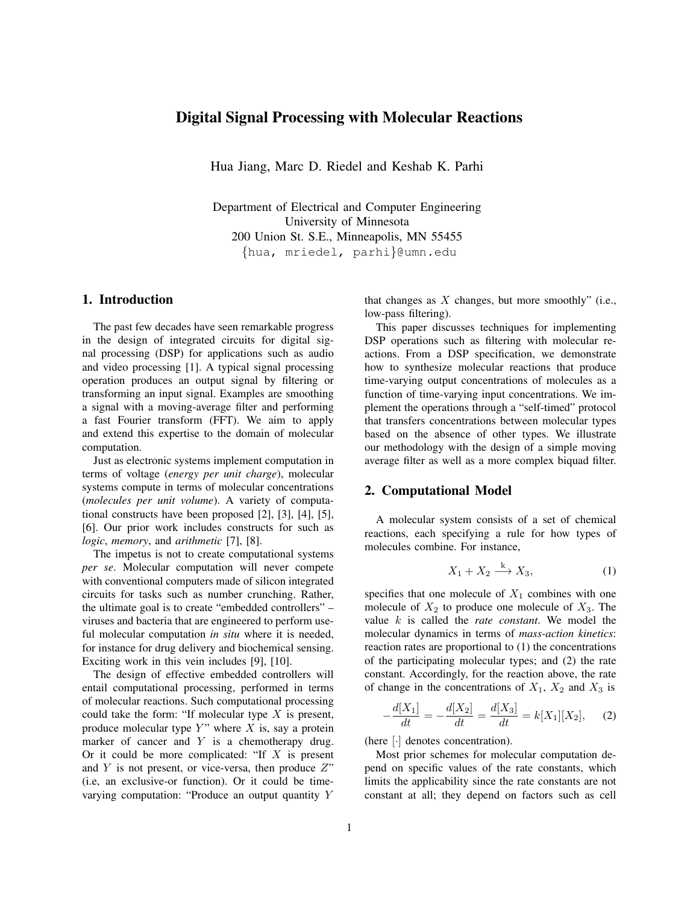# Digital Signal Processing with Molecular Reactions

Hua Jiang, Marc D. Riedel and Keshab K. Parhi

Department of Electrical and Computer Engineering University of Minnesota 200 Union St. S.E., Minneapolis, MN 55455 {hua, mriedel, parhi}@umn.edu

## 1. Introduction

The past few decades have seen remarkable progress in the design of integrated circuits for digital signal processing (DSP) for applications such as audio and video processing [1]. A typical signal processing operation produces an output signal by filtering or transforming an input signal. Examples are smoothing a signal with a moving-average filter and performing a fast Fourier transform (FFT). We aim to apply and extend this expertise to the domain of molecular computation.

Just as electronic systems implement computation in terms of voltage (*energy per unit charge*), molecular systems compute in terms of molecular concentrations (*molecules per unit volume*). A variety of computational constructs have been proposed [2], [3], [4], [5], [6]. Our prior work includes constructs for such as *logic*, *memory*, and *arithmetic* [7], [8].

The impetus is not to create computational systems *per se*. Molecular computation will never compete with conventional computers made of silicon integrated circuits for tasks such as number crunching. Rather, the ultimate goal is to create "embedded controllers" – viruses and bacteria that are engineered to perform useful molecular computation *in situ* where it is needed, for instance for drug delivery and biochemical sensing. Exciting work in this vein includes [9], [10].

The design of effective embedded controllers will entail computational processing, performed in terms of molecular reactions. Such computational processing could take the form: "If molecular type  $X$  is present, produce molecular type  $Y$ " where  $X$  is, say a protein marker of cancer and  $Y$  is a chemotherapy drug. Or it could be more complicated: "If  $X$  is present and Y is not present, or vice-versa, then produce  $Z$ " (i.e, an exclusive-or function). Or it could be timevarying computation: "Produce an output quantity Y

that changes as  $X$  changes, but more smoothly" (i.e., low-pass filtering).

This paper discusses techniques for implementing DSP operations such as filtering with molecular reactions. From a DSP specification, we demonstrate how to synthesize molecular reactions that produce time-varying output concentrations of molecules as a function of time-varying input concentrations. We implement the operations through a "self-timed" protocol that transfers concentrations between molecular types based on the absence of other types. We illustrate our methodology with the design of a simple moving average filter as well as a more complex biquad filter.

## 2. Computational Model

A molecular system consists of a set of chemical reactions, each specifying a rule for how types of molecules combine. For instance,

$$
X_1 + X_2 \xrightarrow{k} X_3,\tag{1}
$$

specifies that one molecule of  $X_1$  combines with one molecule of  $X_2$  to produce one molecule of  $X_3$ . The value k is called the *rate constant*. We model the molecular dynamics in terms of *mass-action kinetics*: reaction rates are proportional to (1) the concentrations of the participating molecular types; and (2) the rate constant. Accordingly, for the reaction above, the rate of change in the concentrations of  $X_1$ ,  $X_2$  and  $X_3$  is

$$
-\frac{d[X_1]}{dt} = -\frac{d[X_2]}{dt} = \frac{d[X_3]}{dt} = k[X_1][X_2], \quad (2)
$$

(here [·] denotes concentration).

Most prior schemes for molecular computation depend on specific values of the rate constants, which limits the applicability since the rate constants are not constant at all; they depend on factors such as cell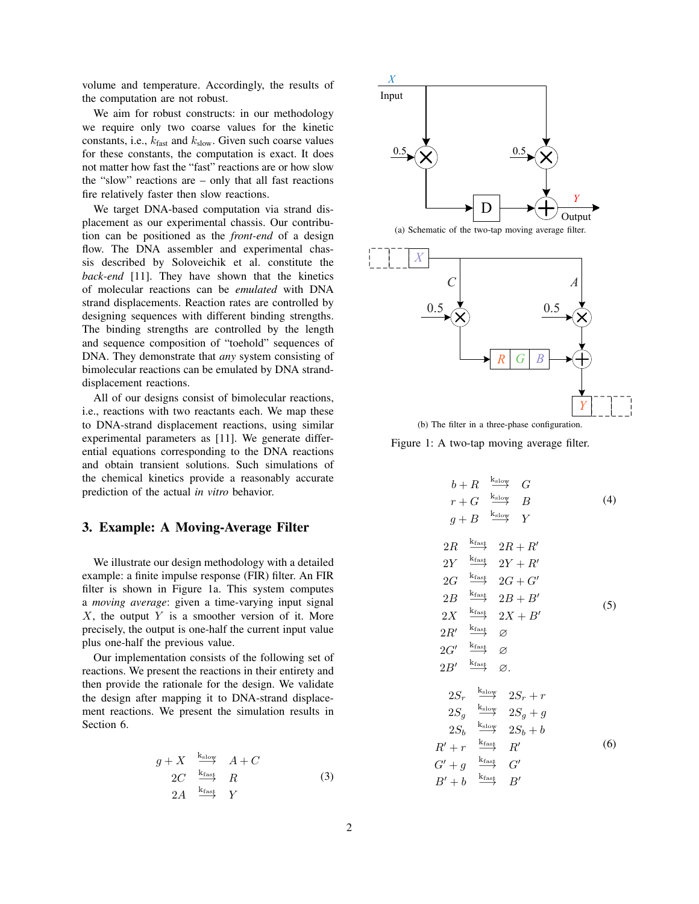volume and temperature. Accordingly, the results of the computation are not robust.

We aim for robust constructs: in our methodology we require only two coarse values for the kinetic constants, i.e.,  $k_{\text{fast}}$  and  $k_{\text{slow}}$ . Given such coarse values for these constants, the computation is exact. It does not matter how fast the "fast" reactions are or how slow the "slow" reactions are – only that all fast reactions fire relatively faster then slow reactions.

We target DNA-based computation via strand displacement as our experimental chassis. Our contribution can be positioned as the *front-end* of a design flow. The DNA assembler and experimental chassis described by Soloveichik et al. constitute the *back-end* [11]. They have shown that the kinetics of molecular reactions can be *emulated* with DNA strand displacements. Reaction rates are controlled by designing sequences with different binding strengths. The binding strengths are controlled by the length and sequence composition of "toehold" sequences of DNA. They demonstrate that *any* system consisting of bimolecular reactions can be emulated by DNA stranddisplacement reactions.

All of our designs consist of bimolecular reactions, i.e., reactions with two reactants each. We map these to DNA-strand displacement reactions, using similar experimental parameters as [11]. We generate differential equations corresponding to the DNA reactions and obtain transient solutions. Such simulations of the chemical kinetics provide a reasonably accurate prediction of the actual *in vitro* behavior.

## 3. Example: A Moving-Average Filter

We illustrate our design methodology with a detailed example: a finite impulse response (FIR) filter. An FIR filter is shown in Figure 1a. This system computes a *moving average*: given a time-varying input signal  $X$ , the output  $Y$  is a smoother version of it. More precisely, the output is one-half the current input value plus one-half the previous value.

Our implementation consists of the following set of reactions. We present the reactions in their entirety and then provide the rationale for the design. We validate the design after mapping it to DNA-strand displacement reactions. We present the simulation results in Section 6.

$$
g + X \xrightarrow{\text{k}_{\text{slow}}} A + C
$$
  
2C\n
$$
\xrightarrow{\text{k}_{\text{fast}}} R
$$
  
2A\n
$$
\xrightarrow{\text{k}_{\text{fast}}} Y
$$
 (3)





(b) The filter in a three-phase configuration.

Figure 1: A two-tap moving average filter.

$$
b + R \xrightarrow{k_{\text{slow}}} G
$$
  
\n
$$
r + G \xrightarrow{k_{\text{slow}}} B
$$
 (4)  
\n
$$
g + B \xrightarrow{k_{\text{slow}}} Y
$$
  
\n
$$
2R \xrightarrow{k_{\text{fast}}} 2R + R'
$$
  
\n
$$
2Y \xrightarrow{k_{\text{fast}}} 2Y + R'
$$
  
\n
$$
2G \xrightarrow{k_{\text{fast}}} 2G + G'
$$
  
\n
$$
2B \xrightarrow{k_{\text{fast}}} 2B + B'
$$
 (5)  
\n
$$
2X \xrightarrow{k_{\text{fast}}} \emptyset
$$
  
\n
$$
2G' \xrightarrow{k_{\text{fast}}} \emptyset
$$
  
\n
$$
2G' \xrightarrow{k_{\text{fast}}} \emptyset
$$
  
\n
$$
2G' \xrightarrow{k_{\text{fast}}} \emptyset
$$
  
\n
$$
2B' \xrightarrow{k_{\text{slow}}} 2S_{r} + r
$$
  
\n
$$
2S_{g} \xrightarrow{k_{\text{slow}}} 2S_{g} + g
$$
  
\n
$$
2S_{b} \xrightarrow{k_{\text{slow}}} 2S_{b} + b
$$
  
\n
$$
R' + r \xrightarrow{k_{\text{fast}}} R'
$$
 (6)  
\n
$$
G' + g \xrightarrow{k_{\text{fast}}} G'
$$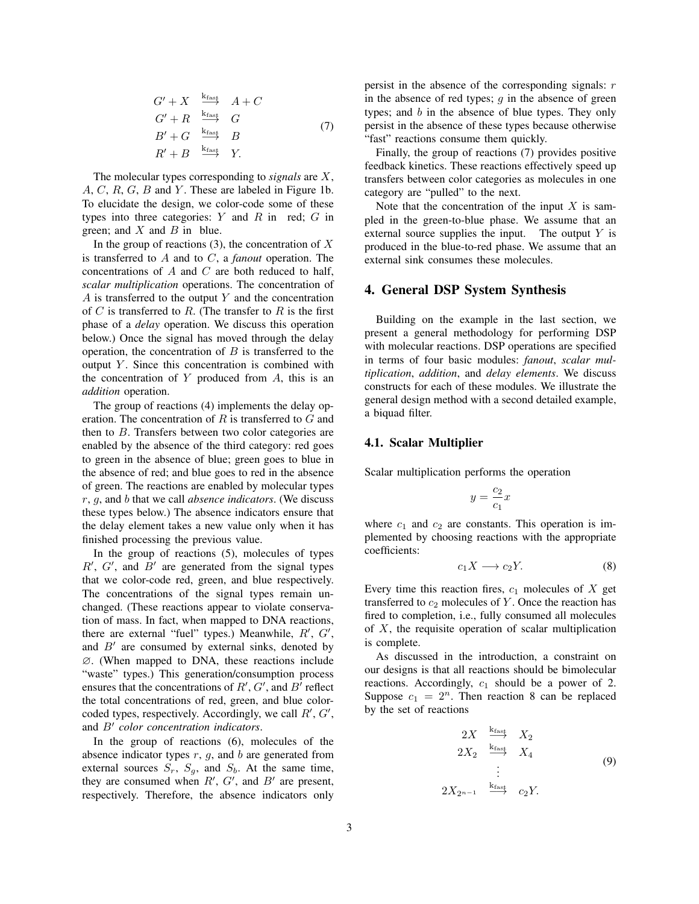$$
G' + X \xrightarrow{\text{k}_{\text{fast}}} A + C
$$
  
\n
$$
G' + R \xrightarrow{\text{k}_{\text{fast}}} G
$$
  
\n
$$
B' + G \xrightarrow{\text{k}_{\text{fast}}} B
$$
  
\n
$$
R' + B \xrightarrow{\text{k}_{\text{fast}}} Y.
$$
\n(7)

The molecular types corresponding to *signals* are X,  $A, C, R, G, B$  and Y. These are labeled in Figure 1b. To elucidate the design, we color-code some of these types into three categories:  $Y$  and  $R$  in red;  $G$  in green; and  $X$  and  $B$  in blue.

In the group of reactions  $(3)$ , the concentration of X is transferred to A and to C, a *fanout* operation. The concentrations of  $A$  and  $C$  are both reduced to half, *scalar multiplication* operations. The concentration of A is transferred to the output  $Y$  and the concentration of  $C$  is transferred to  $R$ . (The transfer to  $R$  is the first phase of a *delay* operation. We discuss this operation below.) Once the signal has moved through the delay operation, the concentration of  $B$  is transferred to the output  $Y$ . Since this concentration is combined with the concentration of  $Y$  produced from  $A$ , this is an *addition* operation.

The group of reactions (4) implements the delay operation. The concentration of R is transferred to G and then to B. Transfers between two color categories are enabled by the absence of the third category: red goes to green in the absence of blue; green goes to blue in the absence of red; and blue goes to red in the absence of green. The reactions are enabled by molecular types r, g, and b that we call *absence indicators*. (We discuss these types below.) The absence indicators ensure that the delay element takes a new value only when it has finished processing the previous value.

In the group of reactions (5), molecules of types  $R'$ ,  $G'$ , and  $B'$  are generated from the signal types that we color-code red, green, and blue respectively. The concentrations of the signal types remain unchanged. (These reactions appear to violate conservation of mass. In fact, when mapped to DNA reactions, there are external "fuel" types.) Meanwhile,  $R', G',$ and  $B'$  are consumed by external sinks, denoted by ∅. (When mapped to DNA, these reactions include "waste" types.) This generation/consumption process ensures that the concentrations of  $R', G'$ , and  $B'$  reflect the total concentrations of red, green, and blue colorcoded types, respectively. Accordingly, we call  $R', G',$ and  $B'$  color concentration indicators.

In the group of reactions (6), molecules of the absence indicator types  $r$ ,  $g$ , and  $b$  are generated from external sources  $S_r$ ,  $S_g$ , and  $S_b$ . At the same time, they are consumed when  $R'$ ,  $G'$ , and  $B'$  are present, respectively. Therefore, the absence indicators only

persist in the absence of the corresponding signals:  $r$ in the absence of red types;  $q$  in the absence of green types; and  $b$  in the absence of blue types. They only persist in the absence of these types because otherwise "fast" reactions consume them quickly.

Finally, the group of reactions (7) provides positive feedback kinetics. These reactions effectively speed up transfers between color categories as molecules in one category are "pulled" to the next.

Note that the concentration of the input  $X$  is sampled in the green-to-blue phase. We assume that an external source supplies the input. The output  $Y$  is produced in the blue-to-red phase. We assume that an external sink consumes these molecules.

## 4. General DSP System Synthesis

Building on the example in the last section, we present a general methodology for performing DSP with molecular reactions. DSP operations are specified in terms of four basic modules: *fanout*, *scalar multiplication*, *addition*, and *delay elements*. We discuss constructs for each of these modules. We illustrate the general design method with a second detailed example, a biquad filter.

#### 4.1. Scalar Multiplier

Scalar multiplication performs the operation

$$
y=\frac{c_2}{c_1}x
$$

where  $c_1$  and  $c_2$  are constants. This operation is implemented by choosing reactions with the appropriate coefficients:

$$
c_1 X \longrightarrow c_2 Y. \tag{8}
$$

Every time this reaction fires,  $c_1$  molecules of  $X$  get transferred to  $c_2$  molecules of Y. Once the reaction has fired to completion, i.e., fully consumed all molecules of  $X$ , the requisite operation of scalar multiplication is complete.

As discussed in the introduction, a constraint on our designs is that all reactions should be bimolecular reactions. Accordingly,  $c_1$  should be a power of 2. Suppose  $c_1 = 2^n$ . Then reaction 8 can be replaced by the set of reactions

$$
2X \xrightarrow{\text{krast}} X_2
$$
  
\n
$$
2X_2 \xrightarrow{\text{krast}} X_4
$$
  
\n
$$
\vdots
$$
  
\n
$$
2X_{2^{n-1}} \xrightarrow{\text{krast}} c_2 Y.
$$
  
\n(9)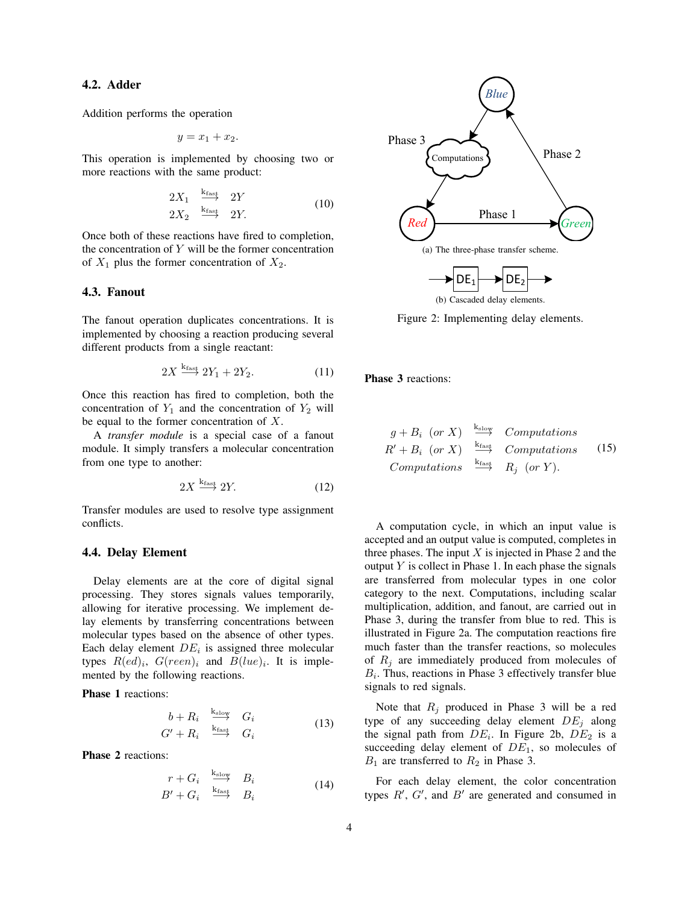## 4.2. Adder

Addition performs the operation

$$
y = x_1 + x_2.
$$

This operation is implemented by choosing two or more reactions with the same product:

$$
\begin{array}{ccc}\n2X_1 & \xrightarrow{k_{fast}} & 2Y \\
2X_2 & \xrightarrow{k_{fast}} & 2Y.\n\end{array} \tag{10}
$$

Once both of these reactions have fired to completion, the concentration of  $Y$  will be the former concentration of  $X_1$  plus the former concentration of  $X_2$ .

#### 4.3. Fanout

The fanout operation duplicates concentrations. It is implemented by choosing a reaction producing several different products from a single reactant:

$$
2X \xrightarrow{k_{\text{fast}}} 2Y_1 + 2Y_2. \tag{11}
$$

Once this reaction has fired to completion, both the concentration of  $Y_1$  and the concentration of  $Y_2$  will be equal to the former concentration of  $X$ .

A *transfer module* is a special case of a fanout module. It simply transfers a molecular concentration from one type to another:

$$
2X \xrightarrow{k_{\text{fast}}} 2Y. \tag{12}
$$

Transfer modules are used to resolve type assignment conflicts.

### 4.4. Delay Element

Delay elements are at the core of digital signal processing. They stores signals values temporarily, allowing for iterative processing. We implement delay elements by transferring concentrations between molecular types based on the absence of other types. Each delay element  $DE_i$  is assigned three molecular types  $R(ed)_i$ ,  $G(reen)_i$  and  $B(lue)_i$ . It is implemented by the following reactions.

Phase 1 reactions:

$$
\begin{array}{ccc}\nb + R_i & \xrightarrow{k_{\text{slow}}} & G_i \\
G' + R_i & \xrightarrow{k_{\text{fast}}} & G_i\n\end{array} \tag{13}
$$

Phase 2 reactions:

$$
r + G_i \xrightarrow{k_{\text{slow}}} B_i
$$
  
\n
$$
B' + G_i \xrightarrow{k_{\text{fast}}} B_i
$$
\n(14)



Figure 2: Implementing delay elements.

Phase 3 reactions:

$$
g + B_i
$$
 (or X)  $\xrightarrow{\text{k}_{\text{slow}}}$  Computations  
\n $R' + B_i$  (or X)  $\xrightarrow{\text{k}_{\text{fast}}}$  Computations (15)  
\nComputations  $\xrightarrow{\text{k}_{\text{fast}}}$   $R_j$  (or Y).

A computation cycle, in which an input value is accepted and an output value is computed, completes in three phases. The input  $X$  is injected in Phase 2 and the output  $Y$  is collect in Phase 1. In each phase the signals are transferred from molecular types in one color category to the next. Computations, including scalar multiplication, addition, and fanout, are carried out in Phase 3, during the transfer from blue to red. This is illustrated in Figure 2a. The computation reactions fire much faster than the transfer reactions, so molecules of  $R_i$  are immediately produced from molecules of  $B_i$ . Thus, reactions in Phase 3 effectively transfer blue signals to red signals.

Note that  $R_j$  produced in Phase 3 will be a red type of any succeeding delay element  $DE_j$  along the signal path from  $DE_i$ . In Figure 2b,  $DE_2$  is a succeeding delay element of  $DE<sub>1</sub>$ , so molecules of  $B_1$  are transferred to  $R_2$  in Phase 3.

For each delay element, the color concentration types  $R'$ ,  $G'$ , and  $B'$  are generated and consumed in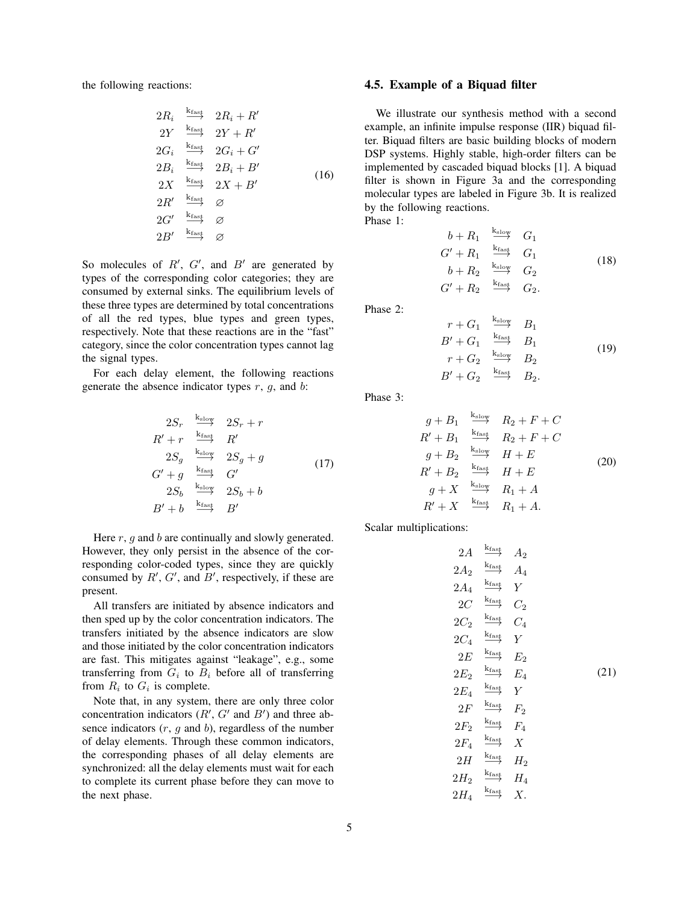the following reactions:

$$
2R_i \xrightarrow{\text{krast}} 2R_i + R'
$$
  
\n
$$
2Y \xrightarrow{\text{krast}} 2Y + R'
$$
  
\n
$$
2G_i \xrightarrow{\text{krast}} 2G_i + G'
$$
  
\n
$$
2B_i \xrightarrow{\text{krast}} 2B_i + B'
$$
  
\n
$$
2X \xrightarrow{\text{krast}} 2X + B'
$$
  
\n
$$
2R' \xrightarrow{\text{krast}} \varnothing
$$
  
\n
$$
2G' \xrightarrow{\text{krast}} \varnothing
$$
  
\n
$$
2B' \xrightarrow{\text{krast}} \varnothing
$$

So molecules of  $R'$ ,  $G'$ , and  $B'$  are generated by types of the corresponding color categories; they are consumed by external sinks. The equilibrium levels of these three types are determined by total concentrations of all the red types, blue types and green types, respectively. Note that these reactions are in the "fast" category, since the color concentration types cannot lag the signal types.

For each delay element, the following reactions generate the absence indicator types  $r$ ,  $g$ , and  $b$ :

$$
2S_r \xrightarrow{\text{k}_{\text{slow}}} 2S_r + r
$$
  
\n
$$
R' + r \xrightarrow{\text{k}_{\text{fast}}} R'
$$
  
\n
$$
2S_g \xrightarrow{\text{k}_{\text{slow}}} 2S_g + g
$$
  
\n
$$
G' + g \xrightarrow{\text{k}_{\text{fast}}} G'
$$
  
\n
$$
2S_b \xrightarrow{\text{k}_{\text{slow}}} 2S_b + b
$$
  
\n
$$
B' + b \xrightarrow{\text{k}_{\text{fast}}} B'
$$
 (17)

Here  $r$ ,  $q$  and  $b$  are continually and slowly generated. However, they only persist in the absence of the corresponding color-coded types, since they are quickly consumed by  $R'$ ,  $G'$ , and  $B'$ , respectively, if these are present.

All transfers are initiated by absence indicators and then sped up by the color concentration indicators. The transfers initiated by the absence indicators are slow and those initiated by the color concentration indicators are fast. This mitigates against "leakage", e.g., some transferring from  $G_i$  to  $B_i$  before all of transferring from  $R_i$  to  $G_i$  is complete.

Note that, in any system, there are only three color concentration indicators  $(R', G'$  and  $B')$  and three absence indicators  $(r, g$  and  $b)$ , regardless of the number of delay elements. Through these common indicators, the corresponding phases of all delay elements are synchronized: all the delay elements must wait for each to complete its current phase before they can move to the next phase.

#### 4.5. Example of a Biquad filter

We illustrate our synthesis method with a second example, an infinite impulse response (IIR) biquad filter. Biquad filters are basic building blocks of modern DSP systems. Highly stable, high-order filters can be implemented by cascaded biquad blocks [1]. A biquad filter is shown in Figure 3a and the corresponding molecular types are labeled in Figure 3b. It is realized by the following reactions. Phase 1:

$$
b + R_1 \xrightarrow{k_{\text{slow}}} G_1
$$
  
\n
$$
G' + R_1 \xrightarrow{k_{\text{fast}}} G_1
$$
  
\n
$$
b + R_2 \xrightarrow{k_{\text{slow}}} G_2
$$
  
\n
$$
G' + R_2 \xrightarrow{k_{\text{fast}}} G_2.
$$
\n(18)

Phase 2:

$$
r + G_1 \xrightarrow{\text{k}_{\text{slow}}} B_1
$$
  
\n
$$
B' + G_1 \xrightarrow{\text{k}_{\text{fast}}} B_1
$$
  
\n
$$
r + G_2 \xrightarrow{\text{k}_{\text{slow}}} B_2
$$
  
\n
$$
B' + G_2 \xrightarrow{\text{k}_{\text{fast}}} B_2.
$$
  
\n(19)

Phase 3:

$$
g + B_1 \xrightarrow{\text{k}_{\text{slow}}} R_2 + F + C
$$
  
\n
$$
R' + B_1 \xrightarrow{\text{k}_{\text{fast}}} R_2 + F + C
$$
  
\n
$$
g + B_2 \xrightarrow{\text{k}_{\text{slow}}} H + E
$$
  
\n
$$
R' + B_2 \xrightarrow{\text{k}_{\text{fast}}} H + E
$$
  
\n
$$
g + X \xrightarrow{\text{k}_{\text{slow}}} R_1 + A
$$
  
\n
$$
R' + X \xrightarrow{\text{k}_{\text{fast}}} R_1 + A.
$$
  
\n(20)

Scalar multiplications:

$$
2A \xrightarrow{k_{fast} \atop k_{fast}} A_2
$$
\n
$$
2A_2 \xrightarrow{k_{fast} \atop k_{fast}} A_4
$$
\n
$$
2A_4 \xrightarrow{k_{fast} \atop k_{fast}} Y
$$
\n
$$
2C_2 \xrightarrow{k_{fast} \atop k_{fast}} Y
$$
\n
$$
2C_4 \xrightarrow{k_{fast} \atop k_{fast}} E_2
$$
\n
$$
2E_2 \xrightarrow{k_{fast} \atop k_{fast}} F_2
$$
\n
$$
2F_2 \xrightarrow{k_{fast} \atop k_{fast}} F_2
$$
\n
$$
2F_2 \xrightarrow{k_{fast} \atop k_{fast}} H_2
$$
\n
$$
2H_2 \xrightarrow{k_{fast} \atop k_{fast}} H_2
$$
\n
$$
2H_2 \xrightarrow{k_{fast} \atop k_{fast}} H_4
$$
\n
$$
2H_4 \xrightarrow{k_{fast} \atop k_{fast}} X.
$$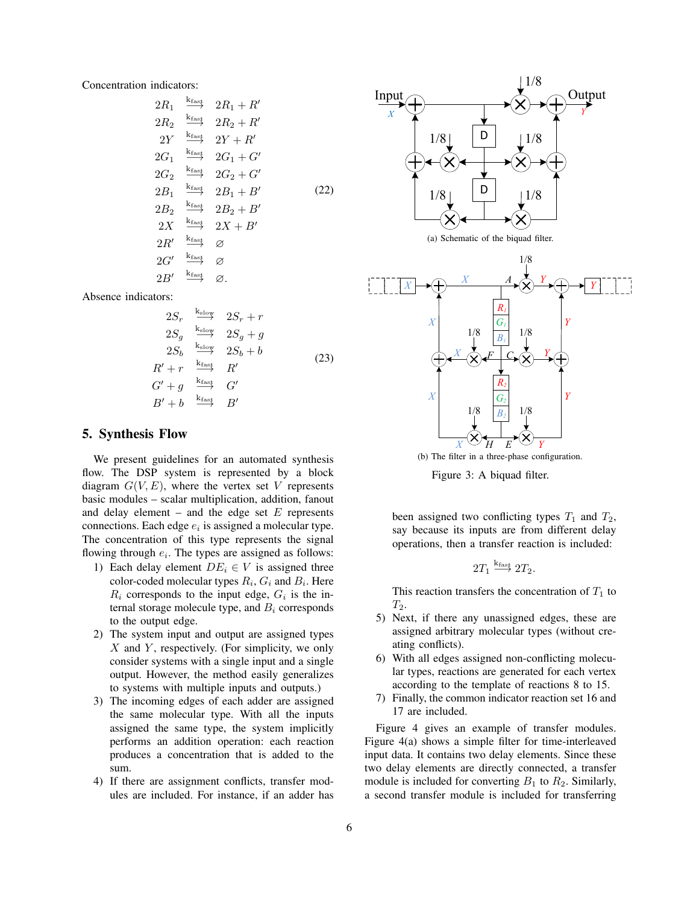Concentration indicators:

$$
2R_1 \xrightarrow{\text{krast}} 2R_1 + R'
$$
\n
$$
2R_2 \xrightarrow{\text{krast}} 2R_2 + R'
$$
\n
$$
2Y \xrightarrow{\text{krast}} 2Y + R'
$$
\n
$$
2G_1 \xrightarrow{\text{krast}} 2G_1 + G'
$$
\n
$$
2G_2 \xrightarrow{\text{krast}} 2G_2 + G'
$$
\n
$$
2B_1 \xrightarrow{\text{krast}} 2B_1 + B'
$$
\n
$$
2B_2 \xrightarrow{\text{krast}} 2B_2 + B'
$$
\n
$$
2X \xrightarrow{\text{krast}} 2X + B'
$$
\n
$$
2R' \xrightarrow{\text{krast}} \varnothing
$$
\n
$$
2G' \xrightarrow{\text{krast}} \varnothing
$$
\n
$$
2B' \xrightarrow{\text{krast}} \varnothing
$$

Absence indicators:

$$
2S_r \xrightarrow{\text{k}_{\text{slow}}} 2S_r + r
$$
  
\n
$$
2S_g \xrightarrow{\text{k}_{\text{slow}}} 2S_g + g
$$
  
\n
$$
2S_b \xrightarrow{\text{k}_{\text{slow}}} 2S_b + b
$$
  
\n
$$
R' + r \xrightarrow{\text{k}_{\text{fast}}} R'
$$
  
\n
$$
G' + g \xrightarrow{\text{k}_{\text{fast}}} G'
$$
  
\n
$$
B' + b \xrightarrow{\text{k}_{\text{fast}}} B'
$$

#### 5. Synthesis Flow

We present guidelines for an automated synthesis flow. The DSP system is represented by a block diagram  $G(V, E)$ , where the vertex set V represents basic modules – scalar multiplication, addition, fanout and delay element – and the edge set  $E$  represents connections. Each edge  $e_i$  is assigned a molecular type. The concentration of this type represents the signal flowing through  $e_i$ . The types are assigned as follows:

- 1) Each delay element  $DE_i \in V$  is assigned three color-coded molecular types  $R_i$ ,  $G_i$  and  $B_i$ . Here  $R_i$  corresponds to the input edge,  $G_i$  is the internal storage molecule type, and  $B_i$  corresponds to the output edge.
- 2) The system input and output are assigned types  $X$  and  $Y$ , respectively. (For simplicity, we only consider systems with a single input and a single output. However, the method easily generalizes to systems with multiple inputs and outputs.)
- 3) The incoming edges of each adder are assigned the same molecular type. With all the inputs assigned the same type, the system implicitly performs an addition operation: each reaction produces a concentration that is added to the sum.
- 4) If there are assignment conflicts, transfer modules are included. For instance, if an adder has



(a) Schematic of the biquad filter.



(b) The filter in a three-phase configuration.

Figure 3: A biquad filter.

been assigned two conflicting types  $T_1$  and  $T_2$ , say because its inputs are from different delay operations, then a transfer reaction is included:

$$
2T_1 \stackrel{k_{fast}}{\longrightarrow} 2T_2.
$$

This reaction transfers the concentration of  $T_1$  to  $T_2$ .

- 5) Next, if there any unassigned edges, these are assigned arbitrary molecular types (without creating conflicts).
- 6) With all edges assigned non-conflicting molecular types, reactions are generated for each vertex according to the template of reactions 8 to 15.
- 7) Finally, the common indicator reaction set 16 and 17 are included.

Figure 4 gives an example of transfer modules. Figure 4(a) shows a simple filter for time-interleaved input data. It contains two delay elements. Since these two delay elements are directly connected, a transfer module is included for converting  $B_1$  to  $R_2$ . Similarly, a second transfer module is included for transferring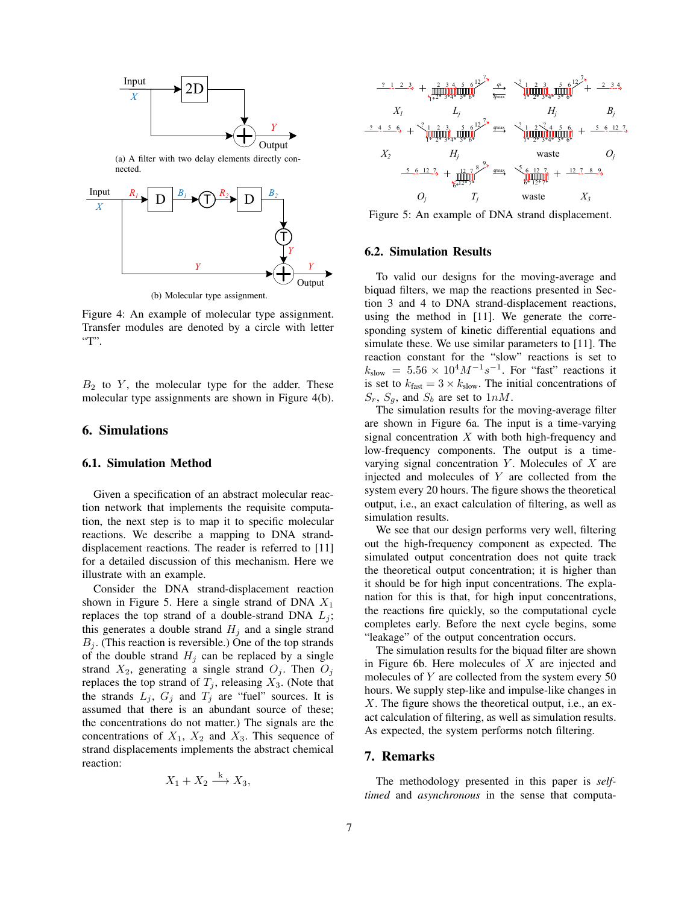

Figure 4: An example of molecular type assignment. Transfer modules are denoted by a circle with letter  $T$ .

 $B_2$  to  $Y$ , the molecular type for the adder. These molecular type assignments are shown in Figure 4(b).

#### 6. Simulations

#### 6.1. Simulation Method

Given a specification of an abstract molecular reaction network that implements the requisite computation, the next step is to map it to specific molecular reactions. We describe a mapping to DNA stranddisplacement reactions. The reader is referred to [11] for a detailed discussion of this mechanism. Here we illustrate with an example.

Consider the DNA strand-displacement reaction shown in Figure 5. Here a single strand of DNA  $X_1$ replaces the top strand of a double-strand DNA  $L_i$ ; this generates a double strand  $H_i$  and a single strand  $B_i$ . (This reaction is reversible.) One of the top strands of the double strand  $H_j$  can be replaced by a single strand  $X_2$ , generating a single strand  $O_j$ . Then  $O_j$ replaces the top strand of  $T_j$ , releasing  $X_3$ . (Note that the strands  $L_j$ ,  $G_j$  and  $T_j$  are "fuel" sources. It is assumed that there is an abundant source of these; the concentrations do not matter.) The signals are the concentrations of  $X_1$ ,  $X_2$  and  $X_3$ . This sequence of strand displacements implements the abstract chemical reaction:

$$
X_1 + X_2 \xrightarrow{k} X_3,
$$



Figure 5: An example of DNA strand displacement.

### 6.2. Simulation Results

To valid our designs for the moving-average and biquad filters, we map the reactions presented in Section 3 and 4 to DNA strand-displacement reactions, using the method in [11]. We generate the corresponding system of kinetic differential equations and simulate these. We use similar parameters to [11]. The reaction constant for the "slow" reactions is set to  $k_{\text{slow}} = 5.56 \times 10^4 M^{-1} s^{-1}$ . For "fast" reactions it is set to  $k_{\text{fast}} = 3 \times k_{\text{slow}}$ . The initial concentrations of  $S_r$ ,  $S_q$ , and  $S_b$  are set to  $1nM$ .

The simulation results for the moving-average filter are shown in Figure 6a. The input is a time-varying signal concentration  $X$  with both high-frequency and low-frequency components. The output is a timevarying signal concentration  $Y$ . Molecules of  $X$  are injected and molecules of Y are collected from the system every 20 hours. The figure shows the theoretical output, i.e., an exact calculation of filtering, as well as simulation results.

We see that our design performs very well, filtering out the high-frequency component as expected. The simulated output concentration does not quite track the theoretical output concentration; it is higher than it should be for high input concentrations. The explanation for this is that, for high input concentrations, the reactions fire quickly, so the computational cycle completes early. Before the next cycle begins, some "leakage" of the output concentration occurs.

The simulation results for the biquad filter are shown in Figure 6b. Here molecules of  $X$  are injected and molecules of Y are collected from the system every 50 hours. We supply step-like and impulse-like changes in X. The figure shows the theoretical output, i.e., an exact calculation of filtering, as well as simulation results. As expected, the system performs notch filtering.

## 7. Remarks

The methodology presented in this paper is *selftimed* and *asynchronous* in the sense that computa-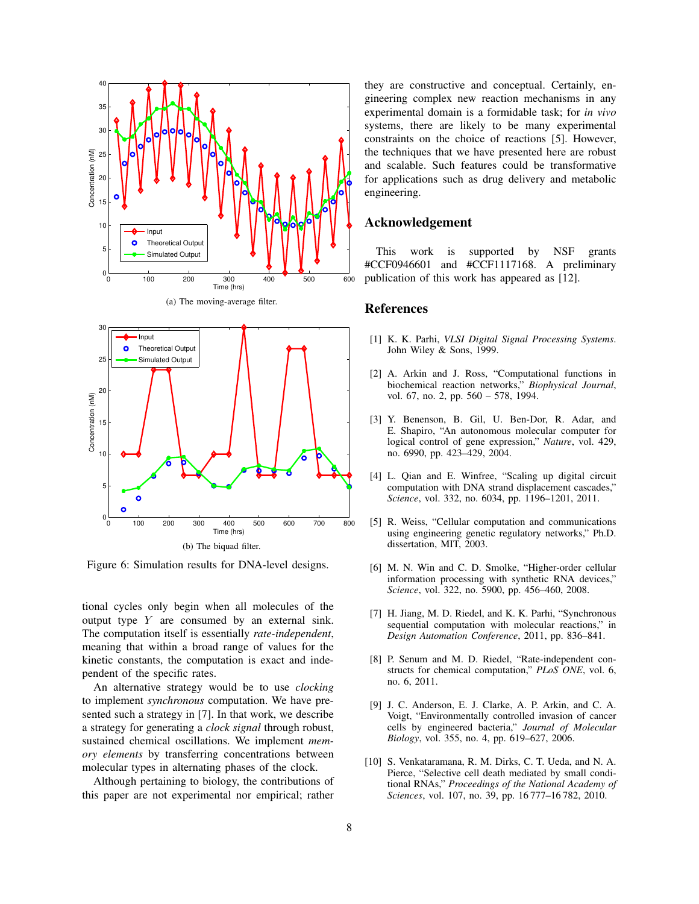

Figure 6: Simulation results for DNA-level designs.

tional cycles only begin when all molecules of the output type  $Y$  are consumed by an external sink. The computation itself is essentially *rate-independent*, meaning that within a broad range of values for the kinetic constants, the computation is exact and independent of the specific rates.

An alternative strategy would be to use *clocking* to implement *synchronous* computation. We have presented such a strategy in [7]. In that work, we describe a strategy for generating a *clock signal* through robust, sustained chemical oscillations. We implement *memory elements* by transferring concentrations between molecular types in alternating phases of the clock.

Although pertaining to biology, the contributions of this paper are not experimental nor empirical; rather

they are constructive and conceptual. Certainly, engineering complex new reaction mechanisms in any experimental domain is a formidable task; for *in vivo* systems, there are likely to be many experimental constraints on the choice of reactions [5]. However, the techniques that we have presented here are robust and scalable. Such features could be transformative for applications such as drug delivery and metabolic engineering.

## Acknowledgement

This work is supported by NSF grants #CCF0946601 and #CCF1117168. A preliminary publication of this work has appeared as [12].

## **References**

- [1] K. K. Parhi, *VLSI Digital Signal Processing Systems*. John Wiley & Sons, 1999.
- [2] A. Arkin and J. Ross, "Computational functions in biochemical reaction networks," *Biophysical Journal*, vol. 67, no. 2, pp. 560 – 578, 1994.
- [3] Y. Benenson, B. Gil, U. Ben-Dor, R. Adar, and E. Shapiro, "An autonomous molecular computer for logical control of gene expression," *Nature*, vol. 429, no. 6990, pp. 423–429, 2004.
- [4] L. Qian and E. Winfree, "Scaling up digital circuit computation with DNA strand displacement cascades," *Science*, vol. 332, no. 6034, pp. 1196–1201, 2011.
- [5] R. Weiss, "Cellular computation and communications using engineering genetic regulatory networks," Ph.D. dissertation, MIT, 2003.
- [6] M. N. Win and C. D. Smolke, "Higher-order cellular information processing with synthetic RNA devices," *Science*, vol. 322, no. 5900, pp. 456–460, 2008.
- [7] H. Jiang, M. D. Riedel, and K. K. Parhi, "Synchronous sequential computation with molecular reactions," in *Design Automation Conference*, 2011, pp. 836–841.
- [8] P. Senum and M. D. Riedel, "Rate-independent constructs for chemical computation," *PLoS ONE*, vol. 6, no. 6, 2011.
- [9] J. C. Anderson, E. J. Clarke, A. P. Arkin, and C. A. Voigt, "Environmentally controlled invasion of cancer cells by engineered bacteria," *Journal of Molecular Biology*, vol. 355, no. 4, pp. 619–627, 2006.
- [10] S. Venkataramana, R. M. Dirks, C. T. Ueda, and N. A. Pierce, "Selective cell death mediated by small conditional RNAs," *Proceedings of the National Academy of Sciences*, vol. 107, no. 39, pp. 16 777–16 782, 2010.